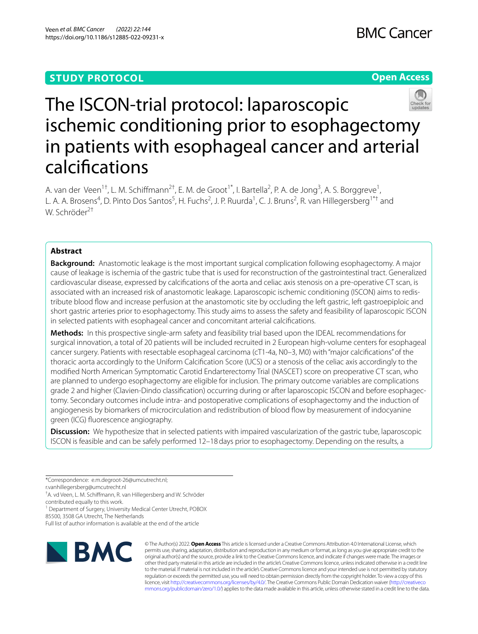# **STUDY PROTOCOL**





# The ISCON-trial protocol: laparoscopic ischemic conditioning prior to esophagectomy in patients with esophageal cancer and arterial calcifcations

A. van der Veen<sup>1†</sup>, L. M. Schiffmann<sup>2†</sup>, E. M. de Groot<sup>1\*</sup>, I. Bartella<sup>2</sup>, P. A. de Jong<sup>3</sup>, A. S. Borggreve<sup>1</sup>, L. A. A. Brosens<sup>4</sup>, D. Pinto Dos Santos<sup>5</sup>, H. Fuchs<sup>2</sup>, J. P. Ruurda<sup>1</sup>, C. J. Bruns<sup>2</sup>, R. van Hillegersberg<sup>1\*†</sup> and W. Schröder2†

# **Abstract**

**Background:** Anastomotic leakage is the most important surgical complication following esophagectomy. A major cause of leakage is ischemia of the gastric tube that is used for reconstruction of the gastrointestinal tract. Generalized cardiovascular disease, expressed by calcifcations of the aorta and celiac axis stenosis on a pre-operative CT scan, is associated with an increased risk of anastomotic leakage. Laparoscopic ischemic conditioning (ISCON) aims to redistribute blood fow and increase perfusion at the anastomotic site by occluding the left gastric, left gastroepiploic and short gastric arteries prior to esophagectomy. This study aims to assess the safety and feasibility of laparoscopic ISCON in selected patients with esophageal cancer and concomitant arterial calcifcations.

**Methods:** In this prospective single-arm safety and feasibility trial based upon the IDEAL recommendations for surgical innovation, a total of 20 patients will be included recruited in 2 European high-volume centers for esophageal cancer surgery. Patients with resectable esophageal carcinoma (cT1-4a, N0–3, M0) with "major calcifcations" of the thoracic aorta accordingly to the Uniform Calcifcation Score (UCS) or a stenosis of the celiac axis accordingly to the modifed North American Symptomatic Carotid Endarterectomy Trial (NASCET) score on preoperative CT scan, who are planned to undergo esophagectomy are eligible for inclusion. The primary outcome variables are complications grade 2 and higher (Clavien-Dindo classifcation) occurring during or after laparoscopic ISCON and before esophagectomy. Secondary outcomes include intra- and postoperative complications of esophagectomy and the induction of angiogenesis by biomarkers of microcirculation and redistribution of blood fow by measurement of indocyanine green (ICG) fuorescence angiography.

**Discussion:** We hypothesize that in selected patients with impaired vascularization of the gastric tube, laparoscopic ISCON is feasible and can be safely performed 12–18days prior to esophagectomy. Depending on the results, a

\*Correspondence: e.m.degroot-26@umcutrecht.nl;

r.vanhillegersberg@umcutrecht.nl

† A. vd Veen, L. M. Schifmann, R. van Hillegersberg and W. Schröder

contributed equally to this work.

<sup>1</sup> Department of Surgery, University Medical Center Utrecht, POBOX

85500, 3508 GA Utrecht, The Netherlands

Full list of author information is available at the end of the article



© The Author(s) 2022. **Open Access** This article is licensed under a Creative Commons Attribution 4.0 International License, which permits use, sharing, adaptation, distribution and reproduction in any medium or format, as long as you give appropriate credit to the original author(s) and the source, provide a link to the Creative Commons licence, and indicate if changes were made. The images or other third party material in this article are included in the article's Creative Commons licence, unless indicated otherwise in a credit line to the material. If material is not included in the article's Creative Commons licence and your intended use is not permitted by statutory regulation or exceeds the permitted use, you will need to obtain permission directly from the copyright holder. To view a copy of this licence, visit [http://creativecommons.org/licenses/by/4.0/.](http://creativecommons.org/licenses/by/4.0/) The Creative Commons Public Domain Dedication waiver ([http://creativeco](http://creativecommons.org/publicdomain/zero/1.0/) [mmons.org/publicdomain/zero/1.0/](http://creativecommons.org/publicdomain/zero/1.0/)) applies to the data made available in this article, unless otherwise stated in a credit line to the data.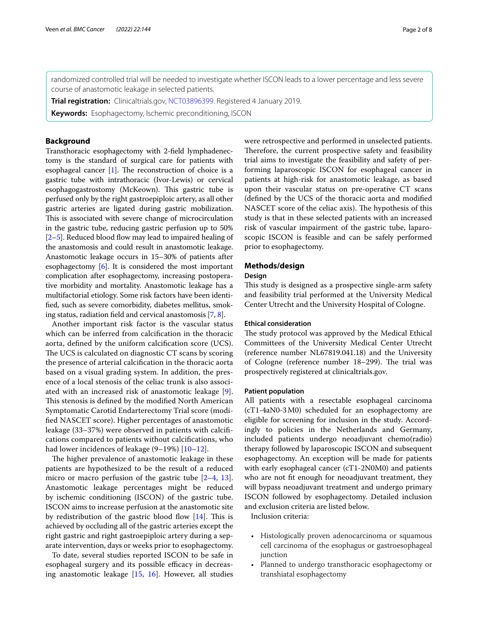randomized controlled trial will be needed to investigate whether ISCON leads to a lower percentage and less severe course of anastomotic leakage in selected patients.

**Trial registration:** Clinicaltrials.gov, [NCT03896399](https://www.clinicaltrials.gov/ct2/show/NCT03896399?term=ISCON&draw=2&rank=1). Registered 4 January 2019.

**Keywords:** Esophagectomy, Ischemic preconditioning, ISCON

# **Background**

Transthoracic esophagectomy with 2-feld lymphadenectomy is the standard of surgical care for patients with esophageal cancer  $[1]$ . The reconstruction of choice is a gastric tube with intrathoracic (Ivor-Lewis) or cervical esophagogastrostomy (McKeown). This gastric tube is perfused only by the right gastroepiploic artery, as all other gastric arteries are ligated during gastric mobilization. This is associated with severe change of microcirculation in the gastric tube, reducing gastric perfusion up to 50%  $[2–5]$  $[2–5]$  $[2–5]$  $[2–5]$ . Reduced blood flow may lead to impaired healing of the anastomosis and could result in anastomotic leakage. Anastomotic leakage occurs in 15–30% of patients after esophagectomy [\[6\]](#page-7-1). It is considered the most important complication after esophagectomy, increasing postoperative morbidity and mortality. Anastomotic leakage has a multifactorial etiology. Some risk factors have been identifed, such as severe comorbidity, diabetes mellitus, smoking status, radiation feld and cervical anastomosis [[7,](#page-7-2) [8\]](#page-7-3).

Another important risk factor is the vascular status which can be inferred from calcifcation in the thoracic aorta, defned by the uniform calcifcation score (UCS). The UCS is calculated on diagnostic CT scans by scoring the presence of arterial calcifcation in the thoracic aorta based on a visual grading system. In addition, the presence of a local stenosis of the celiac trunk is also associated with an increased risk of anastomotic leakage [\[9](#page-7-4)]. This stenosis is defined by the modified North American Symptomatic Carotid Endarterectomy Trial score (modifed NASCET score). Higher percentages of anastomotic leakage (33–37%) were observed in patients with calcifcations compared to patients without calcifcations, who had lower incidences of leakage (9–19%) [[10–](#page-7-5)[12\]](#page-7-6).

The higher prevalence of anastomotic leakage in these patients are hypothesized to be the result of a reduced micro or macro perfusion of the gastric tube  $[2-4, 13]$  $[2-4, 13]$  $[2-4, 13]$  $[2-4, 13]$  $[2-4, 13]$ . Anastomotic leakage percentages might be reduced by ischemic conditioning (ISCON) of the gastric tube. ISCON aims to increase perfusion at the anastomotic site by redistribution of the gastric blood flow  $[14]$  $[14]$ . This is achieved by occluding all of the gastric arteries except the right gastric and right gastroepiploic artery during a separate intervention, days or weeks prior to esophagectomy.

To date, several studies reported ISCON to be safe in esophageal surgery and its possible efficacy in decreasing anastomotic leakage [\[15](#page-7-9), [16](#page-7-10)]. However, all studies were retrospective and performed in unselected patients. Therefore, the current prospective safety and feasibility trial aims to investigate the feasibility and safety of performing laparoscopic ISCON for esophageal cancer in patients at high-risk for anastomotic leakage, as based upon their vascular status on pre-operative CT scans (defned by the UCS of the thoracic aorta and modifed NASCET score of the celiac axis). The hypothesis of this study is that in these selected patients with an increased risk of vascular impairment of the gastric tube, laparoscopic ISCON is feasible and can be safely performed prior to esophagectomy.

# **Methods/design**

### **Design**

This study is designed as a prospective single-arm safety and feasibility trial performed at the University Medical Center Utrecht and the University Hospital of Cologne.

# **Ethical consideration**

The study protocol was approved by the Medical Ethical Committees of the University Medical Center Utrecht (reference number NL67819.041.18) and the University of Cologne (reference number 18–299). The trial was prospectively registered at clinicaltrials.gov.

#### **Patient population**

All patients with a resectable esophageal carcinoma (cT1-4aN0-3M0) scheduled for an esophagectomy are eligible for screening for inclusion in the study. Accordingly to policies in the Netherlands and Germany, included patients undergo neoadjuvant chemo(radio) therapy followed by laparoscopic ISCON and subsequent esophagectomy. An exception will be made for patients with early esophageal cancer (cT1-2N0M0) and patients who are not ft enough for neoadjuvant treatment, they will bypass neoadjuvant treatment and undergo primary ISCON followed by esophagectomy. Detailed inclusion and exclusion criteria are listed below.

Inclusion criteria:

- Histologically proven adenocarcinoma or squamous cell carcinoma of the esophagus or gastroesophageal junction
- Planned to undergo transthoracic esophagectomy or transhiatal esophagectomy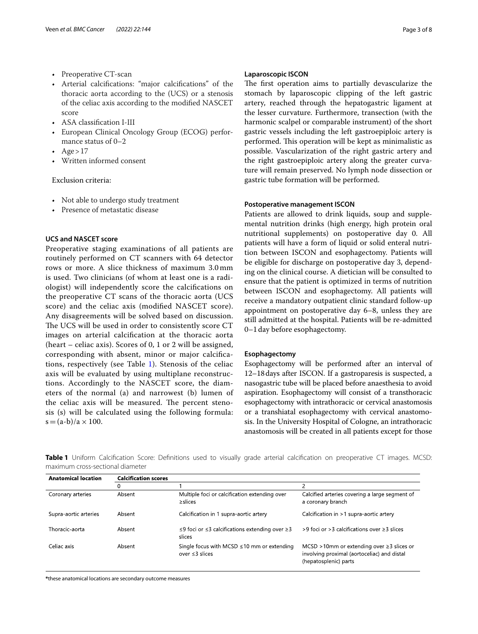- Preoperative CT-scan
- Arterial calcifcations: "major calcifcations" of the thoracic aorta according to the (UCS) or a stenosis of the celiac axis according to the modifed NASCET score
- ASA classifcation I-III
- European Clinical Oncology Group (ECOG) performance status of 0–2
- $Age > 17$
- Written informed consent

Exclusion criteria:

- Not able to undergo study treatment
- Presence of metastatic disease

# **UCS and NASCET score**

Preoperative staging examinations of all patients are routinely performed on CT scanners with 64 detector rows or more. A slice thickness of maximum 3.0 mm is used. Two clinicians (of whom at least one is a radiologist) will independently score the calcifcations on the preoperative CT scans of the thoracic aorta (UCS score) and the celiac axis (modifed NASCET score). Any disagreements will be solved based on discussion. The UCS will be used in order to consistently score CT images on arterial calcifcation at the thoracic aorta (heart – celiac axis). Scores of 0, 1 or 2 will be assigned, corresponding with absent, minor or major calcifcations, respectively (see Table [1\)](#page-2-0). Stenosis of the celiac axis will be evaluated by using multiplane reconstructions. Accordingly to the NASCET score, the diameters of the normal (a) and narrowest (b) lumen of the celiac axis will be measured. The percent stenosis (s) will be calculated using the following formula:  $s = (a-b)/a \times 100$ .

# **Laparoscopic ISCON**

The first operation aims to partially devascularize the stomach by laparoscopic clipping of the left gastric artery, reached through the hepatogastric ligament at the lesser curvature. Furthermore, transection (with the harmonic scalpel or comparable instrument) of the short gastric vessels including the left gastroepiploic artery is performed. This operation will be kept as minimalistic as possible. Vascularization of the right gastric artery and the right gastroepiploic artery along the greater curvature will remain preserved. No lymph node dissection or gastric tube formation will be performed.

#### **Postoperative management ISCON**

Patients are allowed to drink liquids, soup and supplemental nutrition drinks (high energy, high protein oral nutritional supplements) on postoperative day 0. All patients will have a form of liquid or solid enteral nutrition between ISCON and esophagectomy. Patients will be eligible for discharge on postoperative day 3, depending on the clinical course. A dietician will be consulted to ensure that the patient is optimized in terms of nutrition between ISCON and esophagectomy. All patients will receive a mandatory outpatient clinic standard follow-up appointment on postoperative day 6–8, unless they are still admitted at the hospital. Patients will be re-admitted 0–1day before esophagectomy.

#### **Esophagectomy**

Esophagectomy will be performed after an interval of 12–18days after ISCON. If a gastroparesis is suspected, a nasogastric tube will be placed before anaesthesia to avoid aspiration. Esophagectomy will consist of a transthoracic esophagectomy with intrathoracic or cervical anastomosis or a transhiatal esophagectomy with cervical anastomosis. In the University Hospital of Cologne, an intrathoracic anastomosis will be created in all patients except for those

<span id="page-2-0"></span>**Table 1** Uniform Calcifcation Score: Defnitions used to visually grade arterial calcifcation on preoperative CT images. MCSD: maximum cross-sectional diameter

| <b>Anatomical location</b> | <b>Calcification scores</b> |                                                                          |                                                                                                                         |
|----------------------------|-----------------------------|--------------------------------------------------------------------------|-------------------------------------------------------------------------------------------------------------------------|
|                            | 0                           |                                                                          |                                                                                                                         |
| Coronary arteries          | Absent                      | Multiple foci or calcification extending over<br>$\geq$ slices           | Calcified arteries covering a large segment of<br>a coronary branch                                                     |
| Supra-aortic arteries      | Absent                      | Calcification in 1 supra-aortic artery                                   | Calcification in >1 supra-aortic artery                                                                                 |
| Thoracic aorta             | Absent                      | ≤9 foci or ≤3 calcifications extending over ≥3<br>slices                 | $>9$ foci or $>3$ calcifications over $\geq 3$ slices                                                                   |
| Celiac axis                | Absent                      | Single focus with MCSD $\leq$ 10 mm or extending<br>over $\leq$ 3 slices | MCSD >10mm or extending over $\geq$ 3 slices or<br>involving proximal (aortoceliac) and distal<br>(hepatosplenic) parts |

**\***these anatomical locations are secondary outcome measures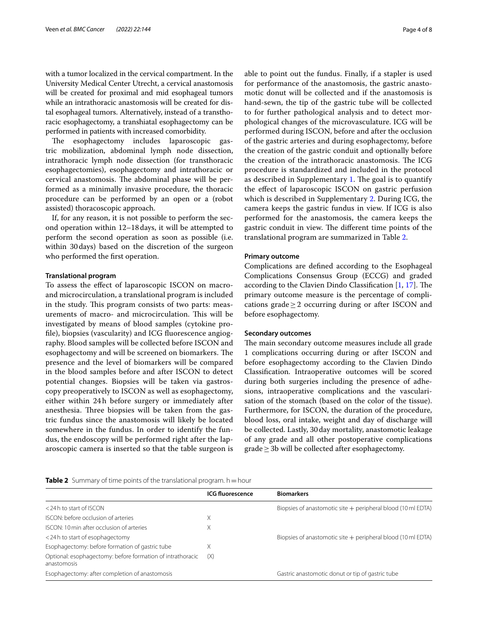with a tumor localized in the cervical compartment. In the University Medical Center Utrecht, a cervical anastomosis will be created for proximal and mid esophageal tumors while an intrathoracic anastomosis will be created for distal esophageal tumors. Alternatively, instead of a transthoracic esophagectomy, a transhiatal esophagectomy can be performed in patients with increased comorbidity.

The esophagectomy includes laparoscopic gastric mobilization, abdominal lymph node dissection, intrathoracic lymph node dissection (for transthoracic esophagectomies), esophagectomy and intrathoracic or cervical anastomosis. The abdominal phase will be performed as a minimally invasive procedure, the thoracic procedure can be performed by an open or a (robot assisted) thoracoscopic approach.

If, for any reason, it is not possible to perform the second operation within 12–18days, it will be attempted to perform the second operation as soon as possible (i.e. within 30days) based on the discretion of the surgeon who performed the frst operation.

#### **Translational program**

To assess the efect of laparoscopic ISCON on macroand microcirculation, a translational program is included in the study. This program consists of two parts: measurements of macro- and microcirculation. This will be investigated by means of blood samples (cytokine profle), biopsies (vascularity) and ICG fuorescence angiography. Blood samples will be collected before ISCON and esophagectomy and will be screened on biomarkers. The presence and the level of biomarkers will be compared in the blood samples before and after ISCON to detect potential changes. Biopsies will be taken via gastroscopy preoperatively to ISCON as well as esophagectomy, either within 24h before surgery or immediately after anesthesia. Three biopsies will be taken from the gastric fundus since the anastomosis will likely be located somewhere in the fundus. In order to identify the fundus, the endoscopy will be performed right after the laparoscopic camera is inserted so that the table surgeon is able to point out the fundus. Finally, if a stapler is used for performance of the anastomosis, the gastric anastomotic donut will be collected and if the anastomosis is hand-sewn, the tip of the gastric tube will be collected to for further pathological analysis and to detect morphological changes of the microvasculature. ICG will be performed during ISCON, before and after the occlusion of the gastric arteries and during esophagectomy, before the creation of the gastric conduit and optionally before the creation of the intrathoracic anastomosis. The ICG procedure is standardized and included in the protocol as described in Supplementary [1](#page-6-3). The goal is to quantify the efect of laparoscopic ISCON on gastric perfusion which is described in Supplementary [2.](#page-6-4) During ICG, the camera keeps the gastric fundus in view. If ICG is also performed for the anastomosis, the camera keeps the gastric conduit in view. The different time points of the translational program are summarized in Table [2](#page-3-0).

#### **Primary outcome**

Complications are defned according to the Esophageal Complications Consensus Group (ECCG) and graded according to the Clavien Dindo Classification  $[1, 17]$  $[1, 17]$  $[1, 17]$  $[1, 17]$ . The primary outcome measure is the percentage of complications grade $\geq$  2 occurring during or after ISCON and before esophagectomy.

#### **Secondary outcomes**

The main secondary outcome measures include all grade 1 complications occurring during or after ISCON and before esophagectomy according to the Clavien Dindo Classifcation. Intraoperative outcomes will be scored during both surgeries including the presence of adhesions, intraoperative complications and the vascularisation of the stomach (based on the color of the tissue). Furthermore, for ISCON, the duration of the procedure, blood loss, oral intake, weight and day of discharge will be collected. Lastly, 30day mortality, anastomotic leakage of any grade and all other postoperative complications  $grade \geq 3b$  will be collected after esophagectomy.

<span id="page-3-0"></span>

|  |  |  |  |  | <b>Table 2</b> Summary of time points of the translational program. h = hour |  |  |
|--|--|--|--|--|------------------------------------------------------------------------------|--|--|
|--|--|--|--|--|------------------------------------------------------------------------------|--|--|

|                                                                           | <b>ICG fluorescence</b> | <b>Biomarkers</b>                                              |
|---------------------------------------------------------------------------|-------------------------|----------------------------------------------------------------|
| <24 h to start of ISCON                                                   |                         | Biopsies of anastomotic site $+$ peripheral blood (10 ml EDTA) |
| <b>ISCON:</b> before occlusion of arteries                                | Χ                       |                                                                |
| ISCON: 10 min after occlusion of arteries                                 | Χ                       |                                                                |
| <24 h to start of esophagectomy                                           |                         | Biopsies of anastomotic site $+$ peripheral blood (10 ml EDTA) |
| Esophagectomy: before formation of gastric tube                           | Χ                       |                                                                |
| Optional: esophagectomy: before formation of intrathoracic<br>anastomosis | (X)                     |                                                                |
| Esophagectomy: after completion of anastomosis                            |                         | Gastric anastomotic donut or tip of gastric tube               |
|                                                                           |                         |                                                                |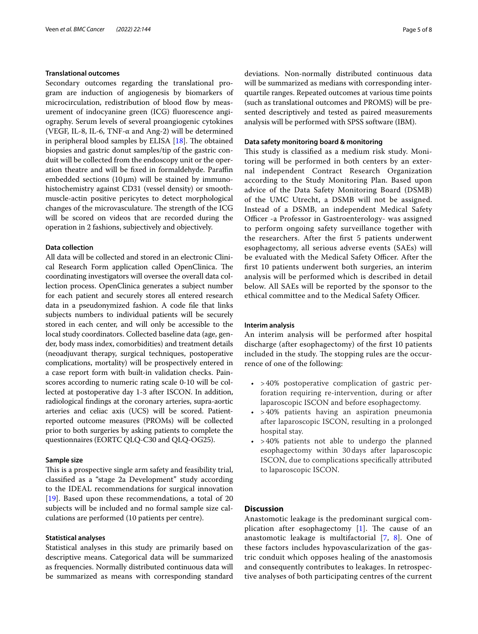#### **Translational outcomes**

Secondary outcomes regarding the translational program are induction of angiogenesis by biomarkers of microcirculation, redistribution of blood flow by measurement of indocyanine green (ICG) fuorescence angiography. Serum levels of several proangiogenic cytokines (VEGF, IL-8, IL-6, TNF-α and Ang-2) will be determined in peripheral blood samples by ELISA  $[18]$  $[18]$  $[18]$ . The obtained biopsies and gastric donut samples/tip of the gastric conduit will be collected from the endoscopy unit or the operation theatre and will be fixed in formaldehyde. Paraffin embedded sections  $(10 \mu m)$  will be stained by immunohistochemistry against CD31 (vessel density) or smoothmuscle-actin positive pericytes to detect morphological changes of the microvasculature. The strength of the ICG will be scored on videos that are recorded during the operation in 2 fashions, subjectively and objectively.

#### **Data collection**

All data will be collected and stored in an electronic Clinical Research Form application called OpenClinica. The coordinating investigators will oversee the overall data collection process. OpenClinica generates a subject number for each patient and securely stores all entered research data in a pseudonymized fashion. A code fle that links subjects numbers to individual patients will be securely stored in each center, and will only be accessible to the local study coordinators. Collected baseline data (age, gender, body mass index, comorbidities) and treatment details (neoadjuvant therapy, surgical techniques, postoperative complications, mortality) will be prospectively entered in a case report form with built-in validation checks. Painscores according to numeric rating scale 0-10 will be collected at postoperative day 1-3 after ISCON. In addition, radiological fndings at the coronary arteries, supra-aortic arteries and celiac axis (UCS) will be scored. Patientreported outcome measures (PROMs) will be collected prior to both surgeries by asking patients to complete the questionnaires (EORTC QLQ-C30 and QLQ-OG25).

#### **Sample size**

This is a prospective single arm safety and feasibility trial, classifed as a "stage 2a Development" study according to the IDEAL recommendations for surgical innovation [[19\]](#page-7-13). Based upon these recommendations, a total of 20 subjects will be included and no formal sample size calculations are performed (10 patients per centre).

# **Statistical analyses**

Statistical analyses in this study are primarily based on descriptive means. Categorical data will be summarized as frequencies. Normally distributed continuous data will be summarized as means with corresponding standard deviations. Non-normally distributed continuous data will be summarized as medians with corresponding interquartile ranges. Repeated outcomes at various time points (such as translational outcomes and PROMS) will be presented descriptively and tested as paired measurements analysis will be performed with SPSS software (IBM).

# **Data safety monitoring board & monitoring**

This study is classified as a medium risk study. Monitoring will be performed in both centers by an external independent Contract Research Organization according to the Study Monitoring Plan. Based upon advice of the Data Safety Monitoring Board (DSMB) of the UMC Utrecht, a DSMB will not be assigned. Instead of a DSMB, an independent Medical Safety Officer -a Professor in Gastroenterology- was assigned to perform ongoing safety surveillance together with the researchers. After the frst 5 patients underwent esophagectomy, all serious adverse events (SAEs) will be evaluated with the Medical Safety Officer. After the frst 10 patients underwent both surgeries, an interim analysis will be performed which is described in detail below. All SAEs will be reported by the sponsor to the ethical committee and to the Medical Safety Officer.

# **Interim analysis**

An interim analysis will be performed after hospital discharge (after esophagectomy) of the frst 10 patients included in the study. The stopping rules are the occurrence of one of the following:

- > 40% postoperative complication of gastric perforation requiring re-intervention, during or after laparoscopic ISCON and before esophagectomy.
- > 40% patients having an aspiration pneumonia after laparoscopic ISCON, resulting in a prolonged hospital stay.
- $\cdot$  >40% patients not able to undergo the planned esophagectomy within 30 days after laparoscopic ISCON, due to complications specifcally attributed to laparoscopic ISCON.

# **Discussion**

Anastomotic leakage is the predominant surgical complication after esophagectomy  $[1]$  $[1]$ . The cause of an anastomotic leakage is multifactorial [[7,](#page-7-2) [8\]](#page-7-3). One of these factors includes hypovascularization of the gastric conduit which opposes healing of the anastomosis and consequently contributes to leakages. In retrospective analyses of both participating centres of the current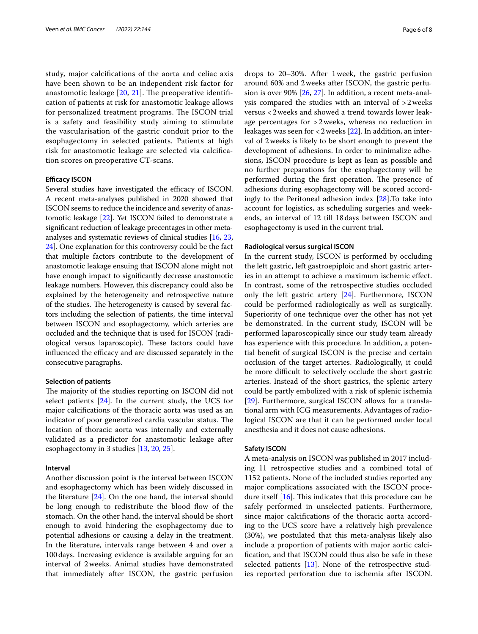study, major calcifcations of the aorta and celiac axis have been shown to be an independent risk factor for anastomotic leakage  $[20, 21]$  $[20, 21]$  $[20, 21]$  $[20, 21]$ . The preoperative identification of patients at risk for anastomotic leakage allows for personalized treatment programs. The ISCON trial is a safety and feasibility study aiming to stimulate the vascularisation of the gastric conduit prior to the esophagectomy in selected patients. Patients at high risk for anastomotic leakage are selected via calcifcation scores on preoperative CT-scans.

# **Efficacy ISCON**

Several studies have investigated the efficacy of ISCON. A recent meta-analyses published in 2020 showed that ISCON seems to reduce the incidence and severity of anastomotic leakage [\[22](#page-7-16)]. Yet ISCON failed to demonstrate a signifcant reduction of leakage precentages in other metaanalyses and systematic reviews of clinical studies [\[16,](#page-7-10) [23](#page-7-17), [24](#page-7-18)]. One explanation for this controversy could be the fact that multiple factors contribute to the development of anastomotic leakage ensuing that ISCON alone might not have enough impact to signifcantly decrease anastomotic leakage numbers. However, this discrepancy could also be explained by the heterogeneity and retrospective nature of the studies. The heterogeneity is caused by several factors including the selection of patients, the time interval between ISCON and esophagectomy, which arteries are occluded and the technique that is used for ISCON (radiological versus laparoscopic). These factors could have influenced the efficacy and are discussed separately in the consecutive paragraphs.

#### **Selection of patients**

The majority of the studies reporting on ISCON did not select patients [\[24](#page-7-18)]. In the current study, the UCS for major calcifcations of the thoracic aorta was used as an indicator of poor generalized cardia vascular status. The location of thoracic aorta was internally and externally validated as a predictor for anastomotic leakage after esophagectomy in 3 studies [\[13,](#page-7-7) [20](#page-7-14), [25\]](#page-7-19).

#### **Interval**

Another discussion point is the interval between ISCON and esophagectomy which has been widely discussed in the literature [[24\]](#page-7-18). On the one hand, the interval should be long enough to redistribute the blood flow of the stomach. On the other hand, the interval should be short enough to avoid hindering the esophagectomy due to potential adhesions or causing a delay in the treatment. In the literature, intervals range between 4 and over a 100days. Increasing evidence is available arguing for an interval of 2weeks. Animal studies have demonstrated that immediately after ISCON, the gastric perfusion drops to 20–30%. After 1week, the gastric perfusion around 60% and 2weeks after ISCON, the gastric perfusion is over 90% [\[26,](#page-7-20) [27\]](#page-7-21). In addition, a recent meta-analysis compared the studies with an interval of >2weeks versus <2weeks and showed a trend towards lower leakage percentages for >2weeks, whereas no reduction in leakages was seen for <2weeks [\[22](#page-7-16)]. In addition, an interval of 2weeks is likely to be short enough to prevent the development of adhesions. In order to minimalize adhesions, ISCON procedure is kept as lean as possible and no further preparations for the esophagectomy will be performed during the first operation. The presence of adhesions during esophagectomy will be scored accordingly to the Peritoneal adhesion index [\[28](#page-7-22)].To take into account for logistics, as scheduling surgeries and weekends, an interval of 12 till 18days between ISCON and esophagectomy is used in the current trial.

#### **Radiological versus surgical ISCON**

In the current study, ISCON is performed by occluding the left gastric, left gastroepiploic and short gastric arteries in an attempt to achieve a maximum ischemic efect. In contrast, some of the retrospective studies occluded only the left gastric artery [\[24](#page-7-18)]. Furthermore, ISCON could be performed radiologically as well as surgically. Superiority of one technique over the other has not yet be demonstrated. In the current study, ISCON will be performed laparoscopically since our study team already has experience with this procedure. In addition, a potential beneft of surgical ISCON is the precise and certain occlusion of the target arteries. Radiologically, it could be more difficult to selectively occlude the short gastric arteries. Instead of the short gastrics, the splenic artery could be partly embolized with a risk of splenic ischemia [[29\]](#page-7-23). Furthermore, surgical ISCON allows for a translational arm with ICG measurements. Advantages of radiological ISCON are that it can be performed under local anesthesia and it does not cause adhesions.

# **Safety ISCON**

A meta-analysis on ISCON was published in 2017 including 11 retrospective studies and a combined total of 1152 patients. None of the included studies reported any major complications associated with the ISCON procedure itself  $[16]$ . This indicates that this procedure can be safely performed in unselected patients. Furthermore, since major calcifcations of the thoracic aorta according to the UCS score have a relatively high prevalence (30%), we postulated that this meta-analysis likely also include a proportion of patients with major aortic calcifcation, and that ISCON could thus also be safe in these selected patients [\[13](#page-7-7)]. None of the retrospective studies reported perforation due to ischemia after ISCON.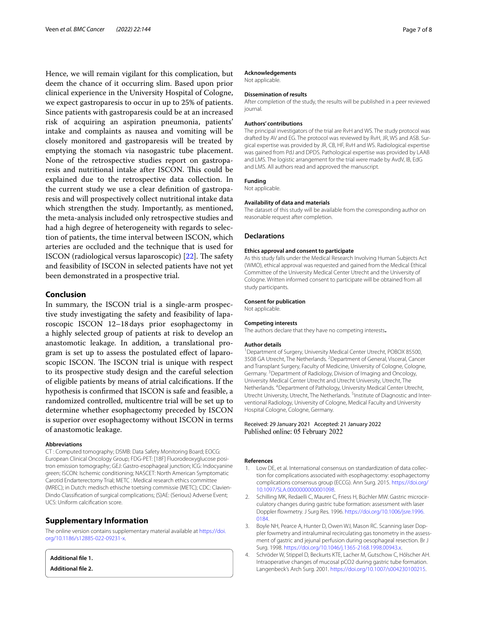Hence, we will remain vigilant for this complication, but deem the chance of it occurring slim. Based upon prior clinical experience in the University Hospital of Cologne, we expect gastroparesis to occur in up to 25% of patients. Since patients with gastroparesis could be at an increased risk of acquiring an aspiration pneumonia, patients' intake and complaints as nausea and vomiting will be closely monitored and gastroparesis will be treated by emptying the stomach via nasogastric tube placement. None of the retrospective studies report on gastroparesis and nutritional intake after ISCON. This could be explained due to the retrospective data collection. In the current study we use a clear defnition of gastroparesis and will prospectively collect nutritional intake data which strengthen the study. Importantly, as mentioned, the meta-analysis included only retrospective studies and had a high degree of heterogeneity with regards to selection of patients, the time interval between ISCON, which arteries are occluded and the technique that is used for ISCON (radiological versus laparoscopic)  $[22]$  $[22]$  $[22]$ . The safety and feasibility of ISCON in selected patients have not yet been demonstrated in a prospective trial.

# **Conclusion**

In summary, the ISCON trial is a single-arm prospective study investigating the safety and feasibility of laparoscopic ISCON 12–18days prior esophagectomy in a highly selected group of patients at risk to develop an anastomotic leakage. In addition, a translational program is set up to assess the postulated efect of laparoscopic ISCON. The ISCON trial is unique with respect to its prospective study design and the careful selection of eligible patients by means of atrial calcifcations. If the hypothesis is confrmed that ISCON is safe and feasible, a randomized controlled, multicentre trial will be set up to determine whether esophagectomy preceded by ISCON is superior over esophagectomy without ISCON in terms of anastomotic leakage.

#### **Abbreviations**

CT : Computed tomography; DSMB: Data Safety Monitoring Board; EOCG: European Clinical Oncology Group; FDG-PET: [18F] Fluorodeoxyglucose positron emission tomography; GEJ: Gastro-esophageal junction; ICG: Indocyanine green; ISCON: Ischemic conditioning; NASCET: North American Symptomatic Carotid Endarterectomy Trial; METC : Medical research ethics committee (MREC); in Dutch: medisch ethische toetsing commissie (METC); CDC: Clavien-Dindo Classifcation of surgical complications; (S)AE: (Serious) Adverse Event; UCS: Uniform calcifcation score.

# **Supplementary Information**

The online version contains supplementary material available at [https://doi.](https://doi.org/10.1186/s12885-022-09231-x) [org/10.1186/s12885-022-09231-x.](https://doi.org/10.1186/s12885-022-09231-x)

<span id="page-6-4"></span><span id="page-6-3"></span>**Additional fle 1.**

**Additional fle 2.**

#### **Acknowledgements**

Not applicable.

#### **Dissemination of results**

After completion of the study, the results will be published in a peer reviewed journal.

#### **Authors' contributions**

The principal investigators of the trial are RvH and WS. The study protocol was drafted by AV and EG. The protocol was reviewed by RvH, JR, WS and ASB. Surgical expertise was provided by JR, CB, HF, RvH and WS. Radiological expertise was gained from PdJ and DPDS. Pathological expertise was provided by LAAB and LMS. The logistic arrangement for the trial were made by AvdV, IB, EdG and LMS. All authors read and approved the manuscript.

#### **Funding**

Not applicable.

#### **Availability of data and materials**

The dataset of this study will be available from the corresponding author on reasonable request after completion.

#### **Declarations**

#### **Ethics approval and consent to participate**

As this study falls under the Medical Research Involving Human Subjects Act (WMO), ethical approval was requested and gained from the Medical Ethical Committee of the University Medical Center Utrecht and the University of Cologne. Written informed consent to participate will be obtained from all study participants.

#### **Consent for publication**

Not applicable.

#### **Competing interests**

The authors declare that they have no competing interests**.**

#### **Author details**

<sup>1</sup> Department of Surgery, University Medical Center Utrecht, POBOX 85500, 3508 GA Utrecht, The Netherlands. <sup>2</sup> Department of General, Visceral, Cancer and Transplant Surgery, Faculty of Medicine, University of Cologne, Cologne, Germany.<sup>3</sup> Department of Radiology, Division of Imaging and Oncology, University Medical Center Utrecht and Utrecht University, Utrecht, The Netherlands. 4 Department of Pathology, University Medical Center Utrecht, Utrecht University, Utrecht, The Netherlands. <sup>5</sup>Institute of Diagnostic and Interventional Radiology, University of Cologne, Medical Faculty and University Hospital Cologne, Cologne, Germany.

#### Received: 29 January 2021 Accepted: 21 January 2022 Published online: 05 February 2022

#### **References**

- <span id="page-6-0"></span>Low DE, et al. International consensus on standardization of data collection for complications associated with esophagectomy: esophagectomy complications consensus group (ECCG). Ann Surg. 2015. [https://doi.org/](https://doi.org/10.1097/SLA.0000000000001098) [10.1097/SLA.0000000000001098.](https://doi.org/10.1097/SLA.0000000000001098)
- <span id="page-6-1"></span>2. Schilling MK, Redaelli C, Maurer C, Friess H, Büchler MW. Gastric microcirculatory changes during gastric tube formation: assessment with laser Doppler flowmetry. J Surg Res. 1996. [https://doi.org/10.1006/jsre.1996.](https://doi.org/10.1006/jsre.1996.0184) [0184](https://doi.org/10.1006/jsre.1996.0184).
- 3. Boyle NH, Pearce A, Hunter D, Owen WJ, Mason RC. Scanning laser Doppler fowmetry and intraluminal recirculating gas tonometry in the assessment of gastric and jejunal perfusion during oesophageal resection. Br J Surg. 1998. <https://doi.org/10.1046/j.1365-2168.1998.00943.x>.
- <span id="page-6-2"></span>4. Schröder W, Stippel D, Beckurts KTE, Lacher M, Gutschow C, Hólscher AH. Intraoperative changes of mucosal pCO2 during gastric tube formation. Langenbeck's Arch Surg. 2001. <https://doi.org/10.1007/s004230100215>.